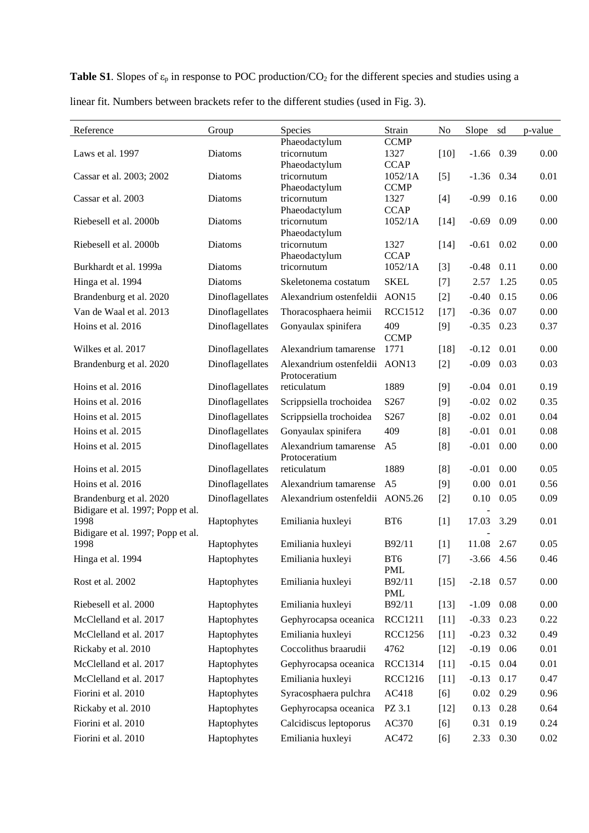**Table S1**. Slopes of  $\varepsilon_p$  in response to POC production/CO<sub>2</sub> for the different species and studies using a

| Reference                                 | Group           | Species                         | Strain                 | No     | Slope        | sd   | p-value |
|-------------------------------------------|-----------------|---------------------------------|------------------------|--------|--------------|------|---------|
|                                           |                 | Phaeodactylum                   | <b>CCMP</b>            |        |              |      |         |
| Laws et al. 1997                          | <b>Diatoms</b>  | tricornutum                     | 1327                   | $[10]$ | $-1.66$      | 0.39 | 0.00    |
|                                           | Diatoms         | Phaeodactylum<br>tricornutum    | <b>CCAP</b>            |        |              |      | 0.01    |
| Cassar et al. 2003; 2002                  |                 | Phaeodactylum                   | 1052/1A<br><b>CCMP</b> | $[5]$  | $-1.36$      | 0.34 |         |
| Cassar et al. 2003                        | Diatoms         | tricornutum                     | 1327                   | $[4]$  | $-0.99$      | 0.16 | 0.00    |
|                                           |                 | Phaeodactylum                   | <b>CCAP</b>            |        |              |      |         |
| Riebesell et al. 2000b                    | Diatoms         | tricornutum                     | $1052/1\mathrm{A}$     | $[14]$ | $-0.69$      | 0.09 | 0.00    |
|                                           |                 | Phaeodactylum                   |                        |        |              |      |         |
| Riebesell et al. 2000b                    | Diatoms         | tricornutum<br>Phaeodactylum    | 1327<br><b>CCAP</b>    | $[14]$ | $-0.61$      | 0.02 | 0.00    |
| Burkhardt et al. 1999a                    | Diatoms         | tricornutum                     | 1052/1A                | $[3]$  | $-0.48$      | 0.11 | 0.00    |
| Hinga et al. 1994                         | Diatoms         | Skeletonema costatum            | <b>SKEL</b>            | $[7]$  | 2.57         | 1.25 | 0.05    |
| Brandenburg et al. 2020                   | Dinoflagellates | Alexandrium ostenfeldii         | AON15                  | $[2]$  | $-0.40$      | 0.15 | 0.06    |
| Van de Waal et al. 2013                   | Dinoflagellates | Thoracosphaera heimii           | <b>RCC1512</b>         | $[17]$ | $-0.36$      | 0.07 | 0.00    |
| Hoins et al. 2016                         |                 |                                 | 409                    |        |              |      |         |
|                                           | Dinoflagellates | Gonyaulax spinifera             | <b>CCMP</b>            | [9]    | $-0.35$      | 0.23 | 0.37    |
| Wilkes et al. 2017                        | Dinoflagellates | Alexandrium tamarense           | 1771                   | $[18]$ | $-0.12$      | 0.01 | 0.00    |
| Brandenburg et al. 2020                   | Dinoflagellates | Alexandrium ostenfeldii AON13   |                        | $[2]$  | $-0.09$      | 0.03 | 0.03    |
|                                           |                 | Protoceratium                   |                        |        |              |      |         |
| Hoins et al. 2016                         | Dinoflagellates | reticulatum                     | 1889                   | [9]    | $-0.04$      | 0.01 | 0.19    |
| Hoins et al. 2016                         | Dinoflagellates | Scrippsiella trochoidea         | S267                   | [9]    | $-0.02$      | 0.02 | 0.35    |
| Hoins et al. 2015                         | Dinoflagellates | Scrippsiella trochoidea         | S267                   | [8]    | $-0.02$      | 0.01 | 0.04    |
| Hoins et al. 2015                         | Dinoflagellates | Gonyaulax spinifera             | 409                    | [8]    | $-0.01$      | 0.01 | 0.08    |
| Hoins et al. 2015                         | Dinoflagellates | Alexandrium tamarense           | A <sub>5</sub>         | [8]    | $-0.01$      | 0.00 | 0.00    |
|                                           |                 | Protoceratium                   |                        |        |              |      |         |
| Hoins et al. 2015                         | Dinoflagellates | reticulatum                     | 1889                   | [8]    | $-0.01$      | 0.00 | 0.05    |
| Hoins et al. 2016                         | Dinoflagellates | Alexandrium tamarense           | A <sub>5</sub>         | $[9]$  | 0.00         | 0.01 | 0.56    |
| Brandenburg et al. 2020                   | Dinoflagellates | Alexandrium ostenfeldii AON5.26 |                        | $[2]$  | 0.10         | 0.05 | 0.09    |
| Bidigare et al. 1997; Popp et al.         |                 |                                 |                        |        |              | 3.29 |         |
| 1998<br>Bidigare et al. 1997; Popp et al. | Haptophytes     | Emiliania huxleyi               | BT <sub>6</sub>        | $[1]$  | 17.03        |      | 0.01    |
| 1998                                      | Haptophytes     | Emiliania huxleyi               | B92/11                 | [1]    | 11.08        | 2.67 | 0.05    |
| Hinga et al. 1994                         | Haptophytes     | Emiliania huxleyi               | BT6                    | $[7]$  | $-3.66$ 4.56 |      | 0.46    |
|                                           |                 |                                 | <b>PML</b>             |        |              |      |         |
| Rost et al. 2002                          | Haptophytes     | Emiliania huxleyi               | B92/11                 | $[15]$ | $-2.18$ 0.57 |      | 0.00    |
| Riebesell et al. 2000                     | Haptophytes     | Emiliania huxleyi               | <b>PML</b>             |        | $-1.09$      | 0.08 | 0.00    |
|                                           |                 |                                 | B92/11                 | $[13]$ |              |      |         |
| McClelland et al. 2017                    | Haptophytes     | Gephyrocapsa oceanica           | <b>RCC1211</b>         | $[11]$ | $-0.33$      | 0.23 | 0.22    |
| McClelland et al. 2017                    | Haptophytes     | Emiliania huxleyi               | <b>RCC1256</b>         | $[11]$ | $-0.23$      | 0.32 | 0.49    |
| Rickaby et al. 2010                       | Haptophytes     | Coccolithus braarudii           | 4762                   | $[12]$ | $-0.19$      | 0.06 | 0.01    |
| McClelland et al. 2017                    | Haptophytes     | Gephyrocapsa oceanica           | RCC1314                | $[11]$ | $-0.15$      | 0.04 | 0.01    |
| McClelland et al. 2017                    | Haptophytes     | Emiliania huxleyi               | <b>RCC1216</b>         | $[11]$ | $-0.13$      | 0.17 | 0.47    |
| Fiorini et al. 2010                       | Haptophytes     | Syracosphaera pulchra           | AC418                  | [6]    | 0.02         | 0.29 | 0.96    |
| Rickaby et al. 2010                       | Haptophytes     | Gephyrocapsa oceanica           | PZ 3.1                 | $[12]$ | 0.13         | 0.28 | 0.64    |
| Fiorini et al. 2010                       | Haptophytes     | Calcidiscus leptoporus          | AC370                  | [6]    | 0.31         | 0.19 | 0.24    |
| Fiorini et al. 2010                       | Haptophytes     | Emiliania huxleyi               | AC472                  | [6]    | 2.33         | 0.30 | 0.02    |

linear fit. Numbers between brackets refer to the different studies (used in Fig. 3).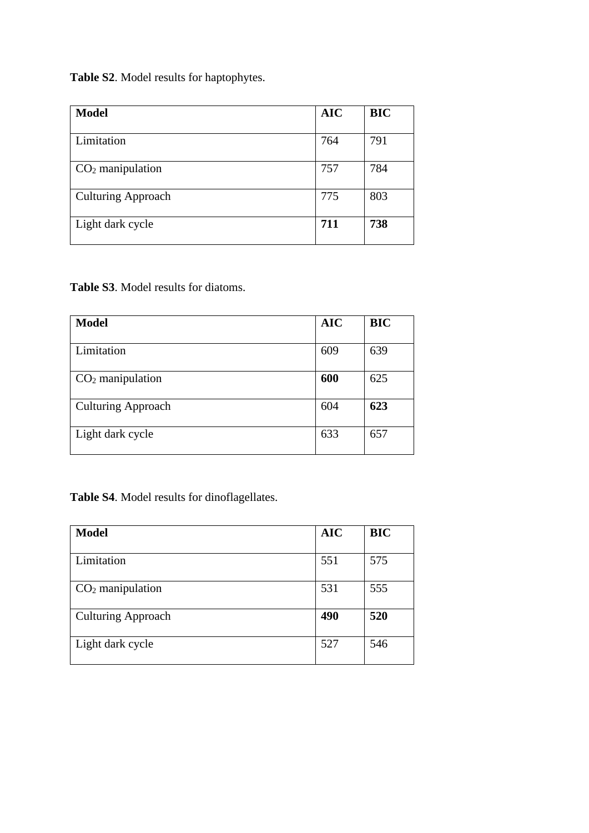**Table S2**. Model results for haptophytes.

| <b>Model</b>              | <b>AIC</b> | <b>BIC</b> |
|---------------------------|------------|------------|
| Limitation                | 764        | 791        |
| $CO2$ manipulation        | 757        | 784        |
| <b>Culturing Approach</b> | 775        | 803        |
| Light dark cycle          | 711        | 738        |

**Table S3**. Model results for diatoms.

| <b>Model</b>              | <b>AIC</b> | <b>BIC</b> |
|---------------------------|------------|------------|
| Limitation                | 609        | 639        |
| $CO2$ manipulation        | 600        | 625        |
| <b>Culturing Approach</b> | 604        | 623        |
| Light dark cycle          | 633        | 657        |

**Table S4**. Model results for dinoflagellates.

| <b>Model</b>              | <b>AIC</b> | <b>BIC</b> |
|---------------------------|------------|------------|
| Limitation                | 551        | 575        |
| $CO2$ manipulation        | 531        | 555        |
| <b>Culturing Approach</b> | 490        | 520        |
| Light dark cycle          | 527        | 546        |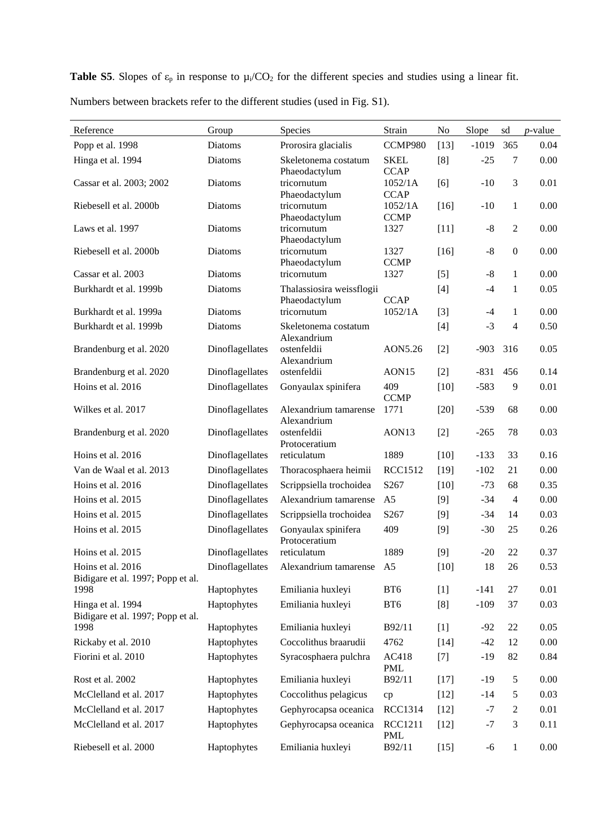**Table S5**. Slopes of  $\varepsilon_p$  in response to  $\mu_i/CO_2$  for the different species and studies using a linear fit.

| Reference                                              | Group           | <b>Species</b>                             | Strain                     | No     | Slope       | sd               | $p$ -value |
|--------------------------------------------------------|-----------------|--------------------------------------------|----------------------------|--------|-------------|------------------|------------|
| Popp et al. 1998                                       | Diatoms         | Prorosira glacialis                        | CCMP980                    | $[13]$ | $-1019$     | 365              | 0.04       |
| Hinga et al. 1994                                      | Diatoms         | Skeletonema costatum<br>Phaeodactylum      | <b>SKEL</b><br><b>CCAP</b> | [8]    | $-25$       | 7                | 0.00       |
| Cassar et al. 2003; 2002                               | Diatoms         | tricornutum<br>Phaeodactylum               | 1052/1A<br><b>CCAP</b>     | [6]    | $-10$       | 3                | 0.01       |
| Riebesell et al. 2000b                                 | Diatoms         | tricornutum<br>Phaeodactylum               | 1052/1A<br><b>CCMP</b>     | $[16]$ | $-10$       | $\mathbf{1}$     | 0.00       |
| Laws et al. 1997                                       | Diatoms         | tricornutum<br>Phaeodactylum               | 1327                       | $[11]$ | $-8$        | $\mathfrak{2}$   | 0.00       |
| Riebesell et al. 2000b                                 | Diatoms         | tricornutum<br>Phaeodactylum               | 1327<br><b>CCMP</b>        | $[16]$ | $\text{-}8$ | $\boldsymbol{0}$ | 0.00       |
| Cassar et al. 2003                                     | Diatoms         | tricornutum                                | 1327                       | $[5]$  | $-8$        | $\mathbf{1}$     | 0.00       |
| Burkhardt et al. 1999b                                 | Diatoms         | Thalassiosira weissflogii<br>Phaeodactylum | <b>CCAP</b>                | $[4]$  | $-4$        | 1                | 0.05       |
| Burkhardt et al. 1999a                                 | Diatoms         | tricornutum                                | 1052/1A                    | $[3]$  | $-4$        | $\mathbf{1}$     | 0.00       |
| Burkhardt et al. 1999b                                 | <b>Diatoms</b>  | Skeletonema costatum<br>Alexandrium        |                            | $[4]$  | $-3$        | $\overline{4}$   | 0.50       |
| Brandenburg et al. 2020                                | Dinoflagellates | ostenfeldii<br>Alexandrium                 | AON5.26                    | $[2]$  | $-903$      | 316              | 0.05       |
| Brandenburg et al. 2020                                | Dinoflagellates | ostenfeldii                                | AON15                      | $[2]$  | $-831$      | 456              | 0.14       |
| Hoins et al. 2016                                      | Dinoflagellates | Gonyaulax spinifera                        | 409<br><b>CCMP</b>         | $[10]$ | $-583$      | 9                | 0.01       |
| Wilkes et al. 2017                                     | Dinoflagellates | Alexandrium tamarense<br>Alexandrium       | 1771                       | $[20]$ | $-539$      | 68               | 0.00       |
| Brandenburg et al. 2020                                | Dinoflagellates | ostenfeldii<br>Protoceratium               | AON13                      | $[2]$  | $-265$      | 78               | 0.03       |
| Hoins et al. 2016                                      | Dinoflagellates | reticulatum                                | 1889                       | $[10]$ | $-133$      | 33               | 0.16       |
| Van de Waal et al. 2013                                | Dinoflagellates | Thoracosphaera heimii                      | <b>RCC1512</b>             | $[19]$ | $-102$      | 21               | 0.00       |
| Hoins et al. 2016                                      | Dinoflagellates | Scrippsiella trochoidea                    | S267                       | $[10]$ | $-73$       | 68               | 0.35       |
| Hoins et al. 2015                                      | Dinoflagellates | Alexandrium tamarense                      | A <sub>5</sub>             | [9]    | $-34$       | $\overline{4}$   | 0.00       |
| Hoins et al. 2015                                      | Dinoflagellates | Scrippsiella trochoidea                    | S267                       | $[9]$  | $-34$       | 14               | 0.03       |
| Hoins et al. 2015                                      | Dinoflagellates | Gonyaulax spinifera<br>Protoceratium       | 409                        | $[9]$  | $-30$       | 25               | 0.26       |
| Hoins et al. 2015                                      | Dinoflagellates | reticulatum                                | 1889                       | $[9]$  | $-20$       | 22               | 0.37       |
| Hoins et al. 2016<br>Bidigare et al. 1997; Popp et al. | Dinoflagellates | Alexandrium tamarense A5                   |                            | $[10]$ | $18\,$      | $26\,$           | 0.53       |
| 1998                                                   | Haptophytes     | Emiliania huxleyi                          | BT6                        | $[1]$  | $-141$      | 27               | 0.01       |
| Hinga et al. 1994<br>Bidigare et al. 1997; Popp et al. | Haptophytes     | Emiliania huxleyi                          | BT6                        | [8]    | $-109$      | 37               | 0.03       |
| 1998                                                   | Haptophytes     | Emiliania huxleyi                          | B92/11                     | $[1]$  | $-92$       | $22\,$           | 0.05       |
| Rickaby et al. 2010                                    | Haptophytes     | Coccolithus braarudii                      | 4762                       | $[14]$ | $-42$       | 12               | $0.00\,$   |
| Fiorini et al. 2010                                    | Haptophytes     | Syracosphaera pulchra                      | AC418<br><b>PML</b>        | $[7]$  | $-19$       | 82               | 0.84       |
| Rost et al. 2002                                       | Haptophytes     | Emiliania huxleyi                          | B92/11                     | $[17]$ | $-19$       | $\sqrt{5}$       | 0.00       |
| McClelland et al. 2017                                 | Haptophytes     | Coccolithus pelagicus                      | cp                         | $[12]$ | $-14$       | 5                | 0.03       |
| McClelland et al. 2017                                 | Haptophytes     | Gephyrocapsa oceanica                      | <b>RCC1314</b>             | $[12]$ | $-7$        | $\overline{c}$   | 0.01       |
| McClelland et al. 2017                                 | Haptophytes     | Gephyrocapsa oceanica                      | <b>RCC1211</b><br>PML      | $[12]$ | $-7$        | $\mathfrak{Z}$   | 0.11       |
| Riebesell et al. 2000                                  | Haptophytes     | Emiliania huxleyi                          | B92/11                     | $[15]$ | $-6$        | $\mathbf{1}$     | 0.00       |

Numbers between brackets refer to the different studies (used in Fig. S1).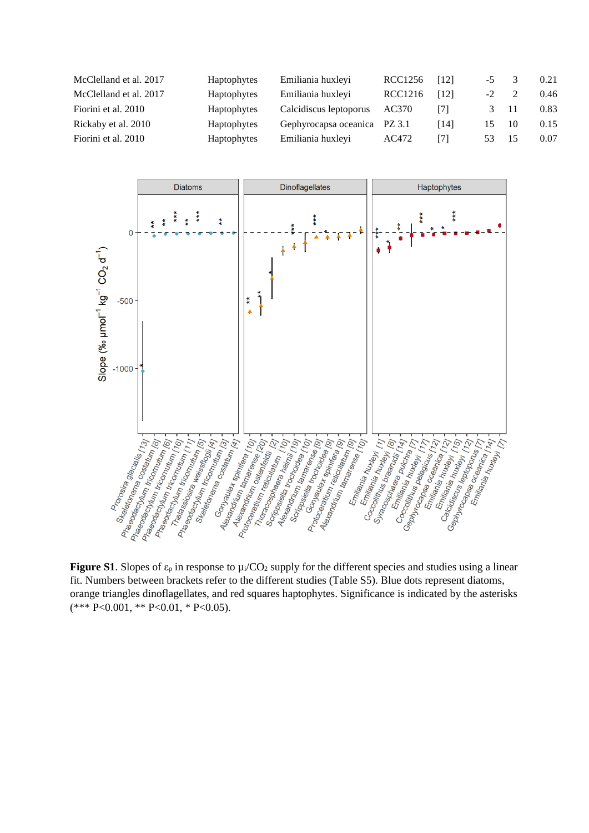| McClelland et al. 2017 | Haptophytes        | Emiliania huxleyi            | RCC1256 | [12]     | $-5$           |    | 0.21 |
|------------------------|--------------------|------------------------------|---------|----------|----------------|----|------|
| McClelland et al. 2017 | Haptophytes        | Emiliania huxleyi            | RCC1216 | 121      | $-2$           |    | 0.46 |
| Fiorini et al. 2010    | <b>Haptophytes</b> | Calcidiscus leptoporus       | AC370   | [7]      |                |    | 0.83 |
| Rickaby et al. 2010    | Haptophytes        | Gephyrocapsa oceanica PZ 3.1 |         | [ $14$ ] | $\overline{5}$ | 10 | 0.15 |
| Fiorini et al. 2010    | Haptophytes        | Emiliania huxleyi            | AC472   | [7]      | 53.            | 15 | 0.07 |



**Figure S1.** Slopes of  $\varepsilon_p$  in response to  $\mu_i/CO_2$  supply for the different species and studies using a linear fit. Numbers between brackets refer to the different studies (Table S5). Blue dots represent diatoms, orange triangles dinoflagellates, and red squares haptophytes. Significance is indicated by the asterisks (\*\*\* P<0.001, \*\* P<0.01, \* P<0.05).